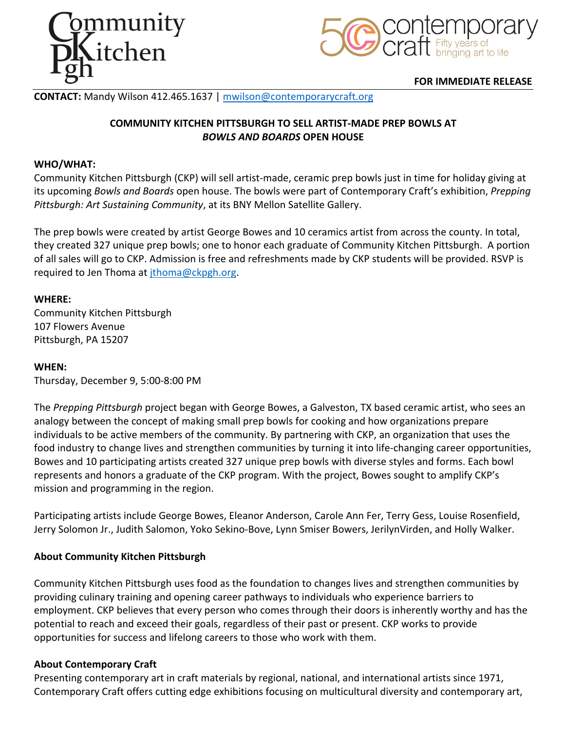



## **FOR IMMEDIATE RELEASE**

# **CONTACT:** Mandy Wilson 412.465.1637 | mwilson@contemporarycraft.org

# **COMMUNITY KITCHEN PITTSBURGH TO SELL ARTIST-MADE PREP BOWLS AT**  *BOWLS AND BOARDS* **OPEN HOUSE**

## **WHO/WHAT:**

Community Kitchen Pittsburgh (CKP) will sell artist-made, ceramic prep bowls just in time for holiday giving at its upcoming *Bowls and Boards* open house. The bowls were part of Contemporary Craft's exhibition, *Prepping Pittsburgh: Art Sustaining Community*, at its BNY Mellon Satellite Gallery.

The prep bowls were created by artist George Bowes and 10 ceramics artist from across the county. In total, they created 327 unique prep bowls; one to honor each graduate of Community Kitchen Pittsburgh. A portion of all sales will go to CKP. Admission is free and refreshments made by CKP students will be provided. RSVP is required to Jen Thoma at jthoma@ckpgh.org.

### **WHERE:**

Community Kitchen Pittsburgh 107 Flowers Avenue Pittsburgh, PA 15207

#### **WHEN:**

Thursday, December 9, 5:00-8:00 PM

The *Prepping Pittsburgh* project began with George Bowes, a Galveston, TX based ceramic artist, who sees an analogy between the concept of making small prep bowls for cooking and how organizations prepare individuals to be active members of the community. By partnering with CKP, an organization that uses the food industry to change lives and strengthen communities by turning it into life-changing career opportunities, Bowes and 10 participating artists created 327 unique prep bowls with diverse styles and forms. Each bowl represents and honors a graduate of the CKP program. With the project, Bowes sought to amplify CKP's mission and programming in the region.

Participating artists include George Bowes, Eleanor Anderson, Carole Ann Fer, Terry Gess, Louise Rosenfield, Jerry Solomon Jr., Judith Salomon, Yoko Sekino-Bove, Lynn Smiser Bowers, JerilynVirden, and Holly Walker.

## **About Community Kitchen Pittsburgh**

Community Kitchen Pittsburgh uses food as the foundation to changes lives and strengthen communities by providing culinary training and opening career pathways to individuals who experience barriers to employment. CKP believes that every person who comes through their doors is inherently worthy and has the potential to reach and exceed their goals, regardless of their past or present. CKP works to provide opportunities for success and lifelong careers to those who work with them.

#### **About Contemporary Craft**

Presenting contemporary art in craft materials by regional, national, and international artists since 1971, Contemporary Craft offers cutting edge exhibitions focusing on multicultural diversity and contemporary art,